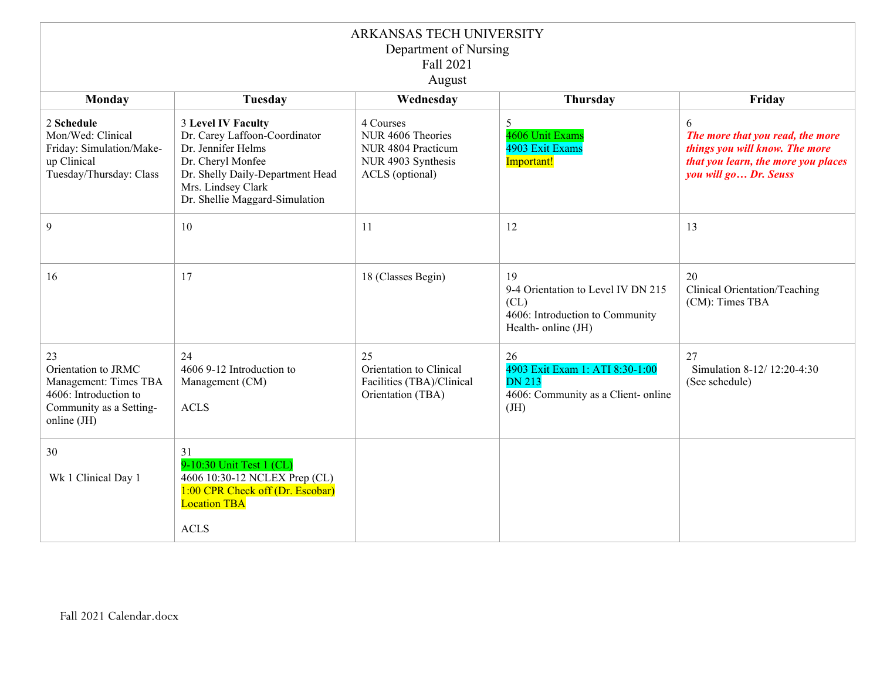| ARKANSAS TECH UNIVERSITY<br>Department of Nursing<br>Fall 2021<br>August                                              |                                                                                                                                                                                                   |                                                                                               |                                                                                                           |                                                                                                                                         |  |
|-----------------------------------------------------------------------------------------------------------------------|---------------------------------------------------------------------------------------------------------------------------------------------------------------------------------------------------|-----------------------------------------------------------------------------------------------|-----------------------------------------------------------------------------------------------------------|-----------------------------------------------------------------------------------------------------------------------------------------|--|
| <b>Monday</b>                                                                                                         | Tuesday                                                                                                                                                                                           | Wednesday                                                                                     | <b>Thursday</b>                                                                                           | Friday                                                                                                                                  |  |
| 2 Schedule<br>Mon/Wed: Clinical<br>Friday: Simulation/Make-<br>up Clinical<br>Tuesday/Thursday: Class                 | <b>3 Level IV Faculty</b><br>Dr. Carey Laffoon-Coordinator<br>Dr. Jennifer Helms<br>Dr. Cheryl Monfee<br>Dr. Shelly Daily-Department Head<br>Mrs. Lindsey Clark<br>Dr. Shellie Maggard-Simulation | 4 Courses<br>NUR 4606 Theories<br>NUR 4804 Practicum<br>NUR 4903 Synthesis<br>ACLS (optional) | 5<br>4606 Unit Exams<br>4903 Exit Exams<br>Important!                                                     | 6<br>The more that you read, the more<br>things you will know. The more<br>that you learn, the more you places<br>you will go Dr. Seuss |  |
| 9                                                                                                                     | 10                                                                                                                                                                                                | 11                                                                                            | 12                                                                                                        | 13                                                                                                                                      |  |
| 16                                                                                                                    | 17                                                                                                                                                                                                | 18 (Classes Begin)                                                                            | 19<br>9-4 Orientation to Level IV DN 215<br>CL)<br>4606: Introduction to Community<br>Health- online (JH) | 20<br>Clinical Orientation/Teaching<br>(CM): Times TBA                                                                                  |  |
| 23<br>Orientation to JRMC<br>Management: Times TBA<br>4606: Introduction to<br>Community as a Setting-<br>online (JH) | 24<br>4606 9-12 Introduction to<br>Management (CM)<br><b>ACLS</b>                                                                                                                                 | 25<br>Orientation to Clinical<br>Facilities (TBA)/Clinical<br>Orientation (TBA)               | 26<br>4903 Exit Exam 1: ATI 8:30-1:00<br><b>DN 213</b><br>4606: Community as a Client- online<br>(JH)     | 27<br>Simulation 8-12/12:20-4:30<br>(See schedule)                                                                                      |  |
| 30<br>Wk 1 Clinical Day 1                                                                                             | 31<br>9-10:30 Unit Test 1 (CL)<br>4606 10:30-12 NCLEX Prep (CL)<br>1:00 CPR Check off (Dr. Escobar)<br><b>Location TBA</b><br><b>ACLS</b>                                                         |                                                                                               |                                                                                                           |                                                                                                                                         |  |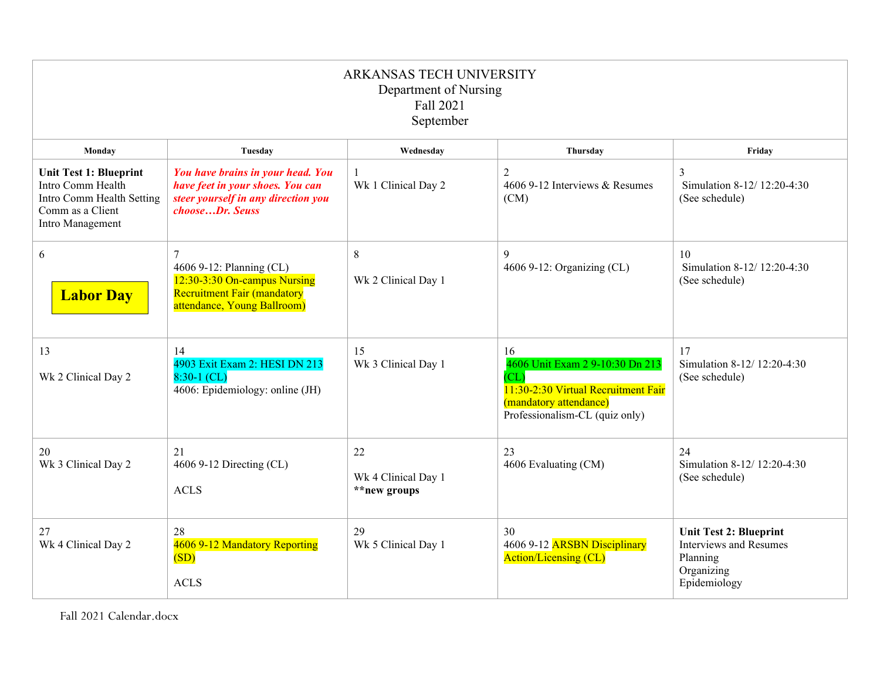| ARKANSAS TECH UNIVERSITY<br>Department of Nursing<br>Fall 2021<br>September                                             |                                                                                                                                                 |                                           |                                                                                                                                                 |                                                                                                          |  |  |
|-------------------------------------------------------------------------------------------------------------------------|-------------------------------------------------------------------------------------------------------------------------------------------------|-------------------------------------------|-------------------------------------------------------------------------------------------------------------------------------------------------|----------------------------------------------------------------------------------------------------------|--|--|
| Monday                                                                                                                  | Tuesday<br>Wednesdav<br>Friday<br>Thursdav                                                                                                      |                                           |                                                                                                                                                 |                                                                                                          |  |  |
| <b>Unit Test 1: Blueprint</b><br>Intro Comm Health<br>Intro Comm Health Setting<br>Comm as a Client<br>Intro Management | You have brains in your head. You<br>have feet in your shoes. You can<br>steer yourself in any direction you<br>chooseDr. Seuss                 | Wk 1 Clinical Day 2                       | 2<br>4606 9-12 Interviews & Resumes<br>(CM)                                                                                                     | 3<br>Simulation 8-12/12:20-4:30<br>(See schedule)                                                        |  |  |
| 6<br><b>Labor Day</b>                                                                                                   | $\overline{7}$<br>4606 9-12: Planning (CL)<br>12:30-3:30 On-campus Nursing<br><b>Recruitment Fair (mandatory</b><br>attendance, Young Ballroom) | 8<br>Wk 2 Clinical Day 1                  | 9<br>4606 9-12: Organizing (CL)                                                                                                                 | 10<br>Simulation 8-12/12:20-4:30<br>(See schedule)                                                       |  |  |
| 13<br>Wk 2 Clinical Day 2                                                                                               | 14<br>4903 Exit Exam 2: HESI DN 213<br>$8:30-1$ (CL)<br>4606: Epidemiology: online (JH)                                                         | 15<br>Wk 3 Clinical Day 1                 | 16<br>4606 Unit Exam 2 9-10:30 Dn 213<br>CL)<br>11:30-2:30 Virtual Recruitment Fair<br>(mandatory attendance)<br>Professionalism-CL (quiz only) | 17<br>Simulation 8-12/12:20-4:30<br>(See schedule)                                                       |  |  |
| 20<br>Wk 3 Clinical Day 2                                                                                               | 21<br>4606 9-12 Directing (CL)<br><b>ACLS</b>                                                                                                   | 22<br>Wk 4 Clinical Day 1<br>**new groups | 23<br>4606 Evaluating (CM)                                                                                                                      | 24<br>Simulation 8-12/12:20-4:30<br>(See schedule)                                                       |  |  |
| 27<br>Wk 4 Clinical Day 2                                                                                               | 28<br>4606 9-12 Mandatory Reporting<br>(SD)<br><b>ACLS</b>                                                                                      | 29<br>Wk 5 Clinical Day 1                 | 30<br>4606 9-12 ARSBN Disciplinary<br><b>Action/Licensing (CL)</b>                                                                              | <b>Unit Test 2: Blueprint</b><br><b>Interviews and Resumes</b><br>Planning<br>Organizing<br>Epidemiology |  |  |

Fall 2021 Calendar.docx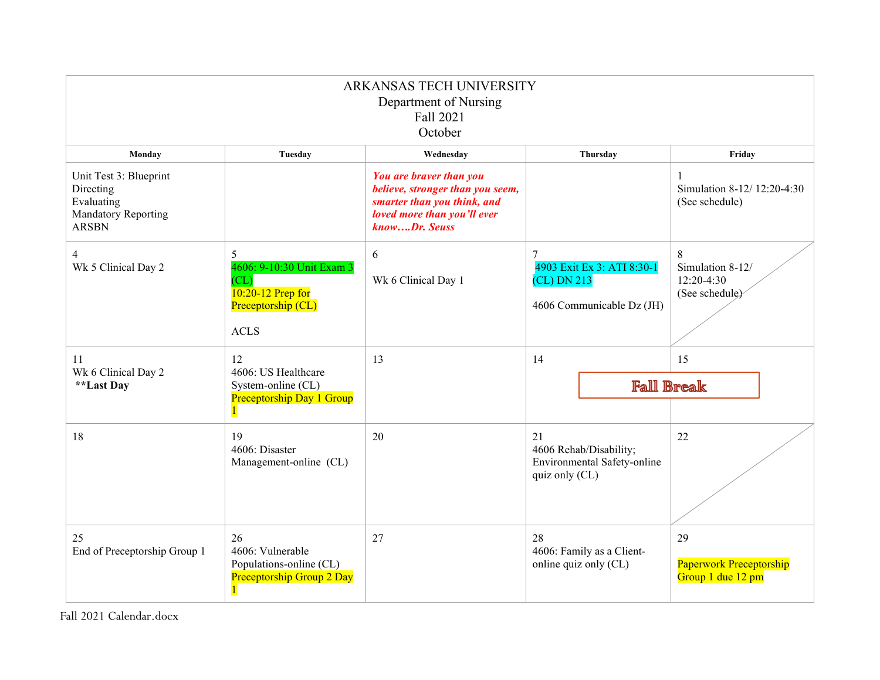|                                                                                                 |                                                                                                  | ARKANSAS TECH UNIVERSITY<br>Department of Nursing<br>Fall 2021<br>October                                                                  |                                                                                  |                                                       |
|-------------------------------------------------------------------------------------------------|--------------------------------------------------------------------------------------------------|--------------------------------------------------------------------------------------------------------------------------------------------|----------------------------------------------------------------------------------|-------------------------------------------------------|
| Monday                                                                                          | Tuesday                                                                                          | Wednesday                                                                                                                                  | Thursday                                                                         | Friday                                                |
| Unit Test 3: Blueprint<br>Directing<br>Evaluating<br><b>Mandatory Reporting</b><br><b>ARSBN</b> |                                                                                                  | You are braver than you<br>believe, stronger than you seem,<br>smarter than you think, and<br>loved more than you'll ever<br>knowDr. Seuss |                                                                                  | Simulation 8-12/12:20-4:30<br>(See schedule)          |
| 4<br>Wk 5 Clinical Day 2                                                                        | 5<br>4606: 9-10:30 Unit Exam 3<br>CL<br>$10:20-12$ Prep for<br>Preceptorship (CL)<br><b>ACLS</b> | 6<br>Wk 6 Clinical Day 1                                                                                                                   | $\tau$<br>4903 Exit Ex 3: ATI 8:30-1<br>(CL) DN 213<br>4606 Communicable Dz (JH) | 8<br>Simulation 8-12/<br>12:20-4:30<br>(See schedule) |
| 11<br>Wk 6 Clinical Day 2                                                                       | 12<br>4606: US Healthcare                                                                        | 13                                                                                                                                         | 14                                                                               | 15                                                    |
| **Last Day                                                                                      | System-online (CL)<br>Preceptorship Day 1 Group                                                  |                                                                                                                                            | <b>Fall Break</b>                                                                |                                                       |
| 18                                                                                              | 19<br>4606: Disaster<br>Management-online (CL)                                                   | 20                                                                                                                                         | 21<br>4606 Rehab/Disability;<br>Environmental Safety-online<br>quiz only (CL)    | 22                                                    |
| 25<br>End of Preceptorship Group 1                                                              | 26<br>4606: Vulnerable<br>Populations-online (CL)<br>Preceptorship Group 2 Day                   | 27                                                                                                                                         | 28<br>4606: Family as a Client-<br>online quiz only (CL)                         | 29<br>Paperwork Preceptorship<br>Group 1 due 12 pm    |

Fall 2021 Calendar.docx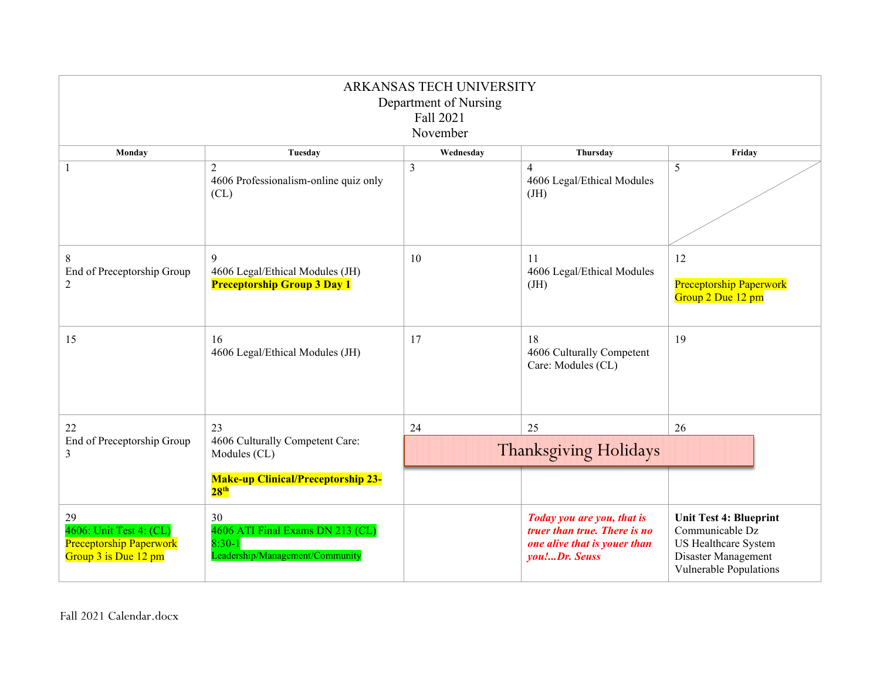| ARKANSAS TECH UNIVERSITY<br>Department of Nursing<br>Fall 2021<br>November              |                                                                                       |                              |                                                                                                             |                                                                                                                           |
|-----------------------------------------------------------------------------------------|---------------------------------------------------------------------------------------|------------------------------|-------------------------------------------------------------------------------------------------------------|---------------------------------------------------------------------------------------------------------------------------|
| Monday                                                                                  | Tuesday                                                                               | Wednesday                    | Thursday                                                                                                    | Friday                                                                                                                    |
|                                                                                         | $\overline{2}$<br>4606 Professionalism-online quiz only<br>CL)                        | 3                            | $\overline{4}$<br>4606 Legal/Ethical Modules<br>(JH)                                                        | 5                                                                                                                         |
| 8<br>End of Preceptorship Group<br>2                                                    | 9<br>4606 Legal/Ethical Modules (JH)<br><b>Preceptorship Group 3 Day 1</b>            | 10                           | 11<br>4606 Legal/Ethical Modules<br>(H)                                                                     | 12<br><b>Preceptorship Paperwork</b><br>Group 2 Due 12 pm                                                                 |
| 15                                                                                      | 16<br>4606 Legal/Ethical Modules (JH)                                                 | 17                           | 18<br>4606 Culturally Competent<br>Care: Modules (CL)                                                       | 19                                                                                                                        |
| 22                                                                                      | 23                                                                                    | 24                           | 25                                                                                                          | 26                                                                                                                        |
| End of Preceptorship Group<br>3                                                         | 4606 Culturally Competent Care:<br>Modules (CL)                                       | <b>Thanksgiving Holidays</b> |                                                                                                             |                                                                                                                           |
|                                                                                         | <b>Make-up Clinical/Preceptorship 23-</b><br>28 <sup>th</sup>                         |                              |                                                                                                             |                                                                                                                           |
| 29<br>4606: Unit Test 4: (CL)<br><b>Preceptorship Paperwork</b><br>Group 3 is Due 12 pm | 30<br>4606 ATI Final Exams DN 213 (CL)<br>$8:30-1$<br>Leadership/Management/Community |                              | Today you are you, that is<br>truer than true. There is no<br>one alive that is youer than<br>you!Dr. Seuss | <b>Unit Test 4: Blueprint</b><br>Communicable Dz<br>US Healthcare System<br>Disaster Management<br>Vulnerable Populations |

Fall 2021 Calendar.docx